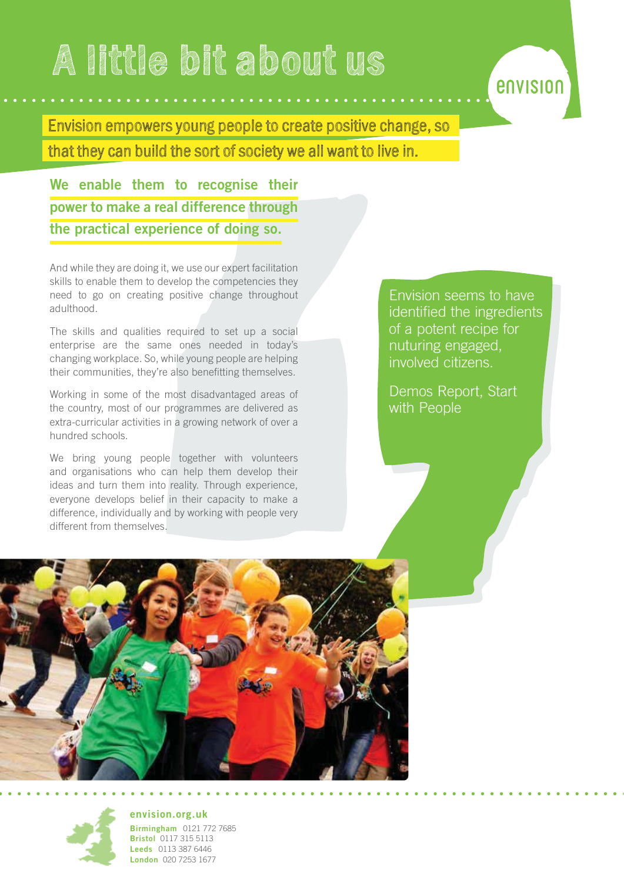# **A little bit about us**

Envision empowers young people to create positive change, so that they can build the sort of society we all want to live in.

**We enable them to recognise their power to make a real difference through the practical experience of doing so.**

And while they are doing it, we use our expert facilitation skills to enable them to develop the competencies they need to go on creating positive change throughout adulthood.

The skills and qualities required to set up a social enterprise are the same ones needed in today's changing workplace. So, while young people are helping their communities, they're also benefitting themselves.

Working in some of the most disadvantaged areas of the country, most of our programmes are delivered as extra-curricular activities in a growing network of over a hundred schools.

We bring young people together with volunteers and organisations who can help them develop their ideas and turn them into reality. Through experience, everyone develops belief in their capacity to make a difference, individually and by working with people very different from themselves.

Envision seems to have identified the ingredients of a potent recipe for nuturing engaged, involved citizens.

envision

Demos Report, Start with People





**envision.org.uk Birmingham** 0121 772 7685 **Bristol** 0117 315 5113 **Leeds** 0113 387 6446 **London** 020 7253 1677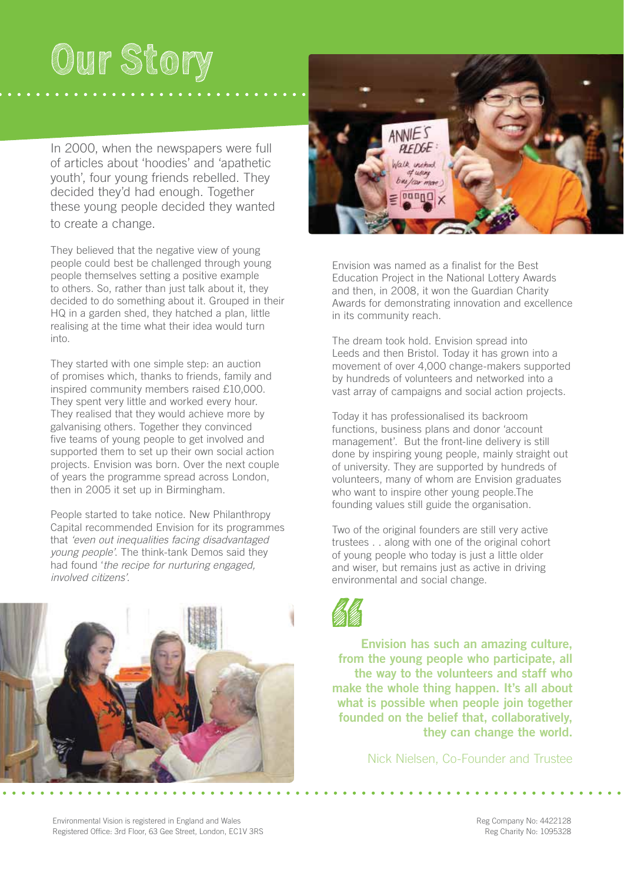## **Our Story**

In 2000, when the newspapers were full of articles about 'hoodies' and 'apathetic youth', four young friends rebelled. They decided they'd had enough. Together these young people decided they wanted to create a change.

They believed that the negative view of young people could best be challenged through young people themselves setting a positive example to others. So, rather than just talk about it, they decided to do something about it. Grouped in their HQ in a garden shed, they hatched a plan, little realising at the time what their idea would turn into.

They started with one simple step: an auction of promises which, thanks to friends, family and inspired community members raised £10,000. They spent very little and worked every hour. They realised that they would achieve more by galvanising others. Together they convinced five teams of young people to get involved and supported them to set up their own social action projects. Envision was born. Over the next couple of years the programme spread across London, then in 2005 it set up in Birmingham.

People started to take notice. New Philanthropy Capital recommended Envision for its programmes that 'even out inequalities facing disadvantaged young people'. The think-tank Demos said they had found 'the recipe for nurturing engaged, involved citizens'.





Envision was named as a finalist for the Best Education Project in the National Lottery Awards and then, in 2008, it won the Guardian Charity Awards for demonstrating innovation and excellence in its community reach.

The dream took hold. Envision spread into Leeds and then Bristol. Today it has grown into a movement of over 4,000 change-makers supported by hundreds of volunteers and networked into a vast array of campaigns and social action projects.

Today it has professionalised its backroom functions, business plans and donor 'account management'. But the front-line delivery is still done by inspiring young people, mainly straight out of university. They are supported by hundreds of volunteers, many of whom are Envision graduates who want to inspire other young people.The founding values still guide the organisation.

Two of the original founders are still very active trustees . . along with one of the original cohort of young people who today is just a little older and wiser, but remains just as active in driving environmental and social change.



**Envision has such an amazing culture, from the young people who participate, all the way to the volunteers and staff who make the whole thing happen. It's all about what is possible when people join together founded on the belief that, collaboratively, they can change the world.** 

Nick Nielsen, Co-Founder and Trustee

Environmental Vision is registered in England and Wales and South and South and South According the South of Reg Company No: 4422128<br>Registered Office: 3rd Floor, 63 Gee Street, London, EC1V 3RS and South According the Reg Registered Office: 3rd Floor, 63 Gee Street, London, EC1V 3RS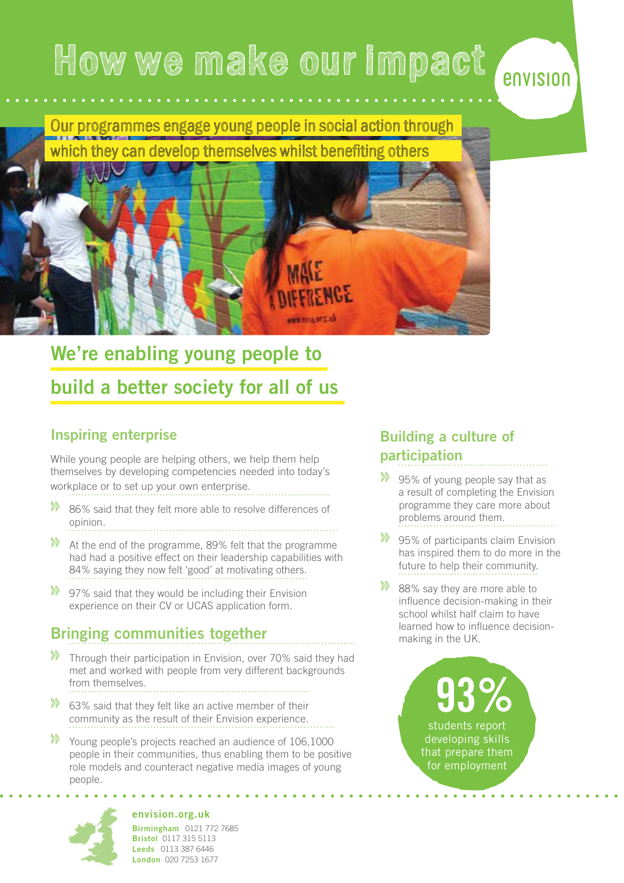## **How we make our impact**

Our programmes engage young people in social action through which they can develop themselves whilst benefiting others



### **We're enabling young people to build a better society for all of us**

#### **Inspiring enterprise**

While young people are helping others, we help them help themselves by developing competencies needed into today's workplace or to set up your own enterprise.

- **»** 86% said that they felt more able to resolve differences of opinion.
- **»** At the end of the programme, 89% felt that the programme had had a positive effect on their leadership capabilities with 84% saying they now felt 'good' at motivating others.
- **»** 97% said that they would be including their Envision experience on their CV or UCAS application form.

#### **Bringing communities together**

- **»** Through their participation in Envision, over 70% said they had met and worked with people from very different backgrounds from themselves.
- **»** 63% said that they felt like an active member of their community as the result of their Envision experience.
- **»** Young people's projects reached an audience of 106,1000 people in their communities, thus enabling them to be positive role models and counteract negative media images of young people.

#### **Building a culture of participation**

**»** 95% of young people say that as a result of completing the Envision programme they care more about problems around them.

envision

- **»** 95% of participants claim Envision has inspired them to do more in the future to help their community.
- **88%** say they are more able to influence decision-making in their school whilst half claim to have learned how to influence decisionmaking in the UK.

### students report 93% developing skills

that prepare them for employment



**envision.org.uk Birmingham** 0121 772 7685 **Bristol** 0117 315 5113 **Leeds** 0113 387 6446 **London** 020 7253 1677